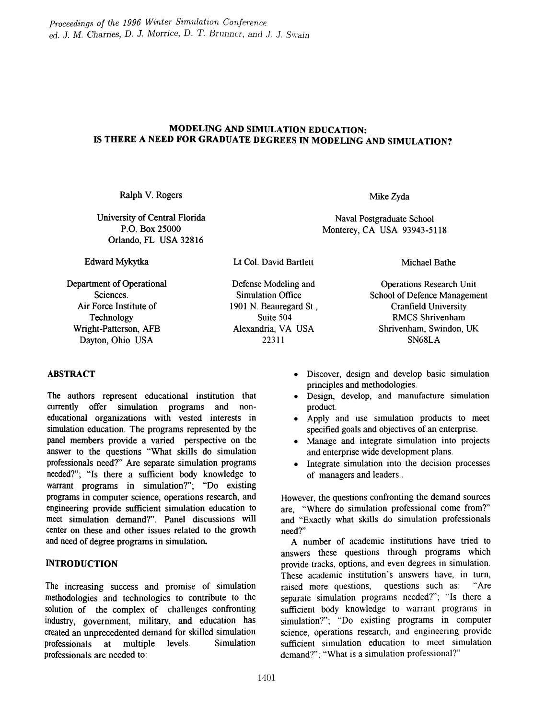### MODELING AND SIMULATION EDUCATION: IS THERE A NEED FOR GRADUATE DEGREES IN MODELING AND SIMULATION?

Ralph V. Rogers

University of Central Florida P.O. Box 25000 Orlando, FL USA 32816

Lt Col. David Bartlett

Department of Operational Sciences. Air Foree Institute of **Technology** Wright-Patterson, AFB Dayton, Ohio USA

Edward Mykytka

Defense Modeling and Simulation Office 1901 N. Beauregard St., Suite 504 Alexandria, VA USA

22311

Operations Research Unit School of Defence Management Cranfield University RMCS Shrivenham Shrivenham, Swindon, UK SN68LA

Michael Bathe

# ABSTRACT

The authors represent educational institution that currently offer simulation programs and noneducational organizations with vested interests in simulation education. The programs represented by the panel members provide a varied perspective on the answer to the questions "What skills do simulation professionals need?" Are separate simulation programs needed?"; "Is there a sufficient body knowledge to warrant programs in simulation?"; "Do existing programs in computer science, operations research, and engineering provide sufficient simulation education to meet simulation demand?". Panel discussions will center on these and other issues related to the growth and need of degree programs in simulation.

# INTRODUCTION

The increasing success and promise of simulation methodologies and teclmologies to contribute to the solution of the complex of challenges confronting industry, government, military, and education has created an unprecedented demand for skilled simulation professionals at multiple levels. Simulation professionals are needed to:

• Discover, design and develop basic simulation principles and methodologies.

Mike Zyda

Naval Postgraduate School Monterey, CA USA 93943-5118

- Design, develop, and manufacture simulation product.
- Apply and use simulation products to meet specified goals and objectives of an enterprise.
- Manage and integrate simulation into projects and enterprise wide development plans.
- Integrate simulation into the decision processes of managers and leaders..

However, the questions confronting the demand sources are, "Where do simulation professional come from?" and "Exactly what skills do simulation professionals need?"

A number of academic institutions have tried to answers these questions through programs which provide tracks, options, and even degrees in simulation. These academic institution's answers have, in tum, raised more questions, questions such as: "Are separate simulation programs needed?"; "Is there a sufficient body knowledge to warrant programs in simulation?"; "Do existing programs in computer science, operations research, and engineering provide sufficient simulation education to meet simulation demand?": "What is a simulation professional?"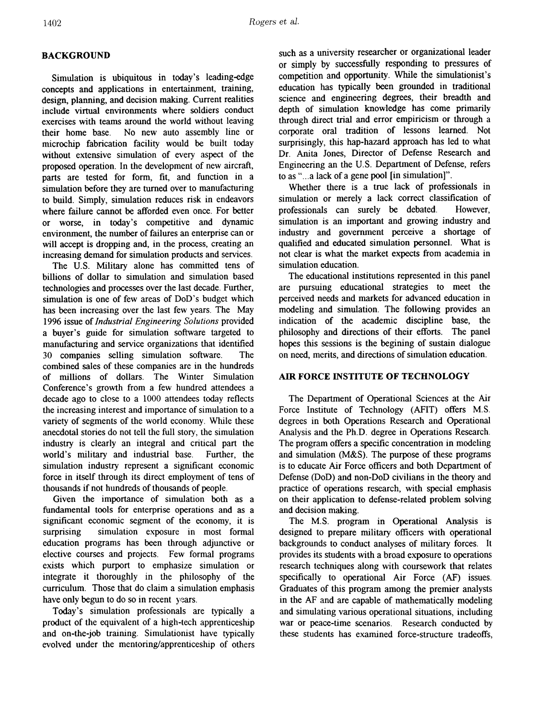## BACKGROUND

Simulation is ubiquitous in today's leading-edge concepts and applications in entertainment, training, design, planning, and decision making. Current realities include virtual environments where soldiers conduct exercises with teams around the world without leaving their home base. No new auto assembly line or microchip fabrication facility would be built today without extensive simulation of every aspect of the proposed operation. In the development of new aircraft, parts are tested for form, fit, and function in a simulation before they are turned over to manufacturing to build. Simply, simulation reduces risk in endeavors where failure cannot be afforded even once. For better or worse, in today's competitive and dynamic environment, the number of failures an enterprise can or will accept is dropping and, in the process, creating an increasing demand for simulation products and services.

The U.S. Military alone has committed tens of billions of dollar to simulation and simulation based technologies and processes over the last decade. Further, simulation is one of few areas of DoD's budget which has been increasing over the last few years. The May 1996 issue of*Industrial Engineering Solutions* provided a buyer's guide for simulation software targeted to manufacturing and service organizations that identified 30 companies selling simulation software. The combined sales of these companies are in the hundreds of millions of dollars. The Winter Simulation Conference's growth from a few hundred attendees a decade ago to close to a 1000 attendees today reflects the increasing interest and importance of simulation to a variety of segments of the world economy. While these anecdotal stories do not tell the full story, the simulation industry is clearly an integral and critical part the world's military and industrial base. Further, the simulation industry represent a significant economic force in itself through its direct employment of tens of thousands if not hundreds of thousands of people.

Given the importance of simulation both as a fundamental tools for enterprise operations and as a significant economic segment of the economy, it is surprising simulation exposure in most formal education programs has been through adjunctive or elective courses and projects. Few formal programs exists which purport to emphasize simulation or integrate it thoroughly in the philosophy of the curriculum. Those that do claim a simulation emphasis have only begun to do so in recent years.

Today's simulation professionals are typically a product of the equivalent of a high-tech apprenticeship and on-the-job training. Simulationist have typically evolved under the mentoring/apprenticeship of others

such as a university researcher or organizational leader or simply by successfully responding to pressures of competition and opportunity. While the simulationist's education has typically been grounded in traditional science and engineering degrees, their breadth and depth of simulation knowledge has come primarily through direct trial and error empiricism or through a corporate oral tradition of lessons learned. Not surprisingly, this hap-hazard approach has led to what Dr. Anita Jones, Director of Defense Research and Engineering an the U.S. Department of Defense, refers to as "...a lack of a gene pool [in simulation]".

Whether there is a true lack of professionals in simulation or merely a lack correct classification of professionals can surely be debated. However, simulation is an important and growing industry and industry and government perceive a shortage of qualified and educated simulation personnel. What is not clear is what the market expects from academia in simulation education.

The educational institutions represented in this panel are pursuing educational strategies to meet the perceived needs and markets for advanced education in modeling and simulation. The following provides an indication of the academic discipline base, the philosophy and directions of their efforts. The panel hopes this sessions is the begining of sustain dialogue on need, merits, and directions of simulation education.

### AIR FORCE INSTITUTE OF TECHNOLOGY

The Department of Operational Sciences at the Air Force Institute of Technology (AFIT) offers M.S. degrees in both Operations Research and Operational Analysis and the Ph.D. degree in Operations Research. The program offers a specific concentration in modeling and simulation (M&S). The purpose of these programs is to educate Air Force officers and both Department of Defense (DoD) and non-DoD civilians in the theory and practice of operations research, with special emphasis on their application to defense-related problem solving and decision making.

The M.S. program in Operational Analysis is designed to prepare military officers with operational backgrounds to conduct analyses of military forces. It provides its students with a broad exposure to operations research techniques along with coursework that relates specifically to operational Air Force (AF) issues. Graduates of this program among the premier analysts in the AF and are capable of mathematically modeling and simulating various operational situations, including war or peace-time scenarios. Research conducted by these students has examined force-structure tradeoffs,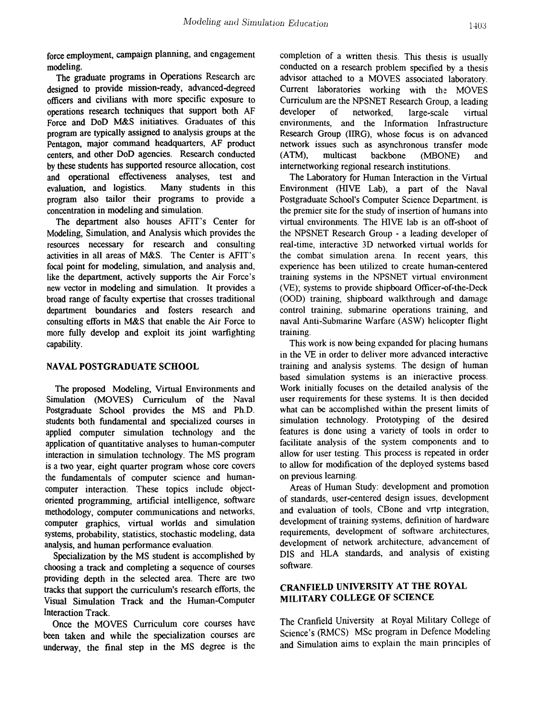force employment, campaign planning, and engagement modeling.

The graduate programs in Operations Research are designed to provide mission-ready, advanced-degreed officers and civilians with more specific exposure to operations research techniques that support both AF Force and DoD M&S initiatives. Graduates of this program are typically assigned to analysis groups at the Pentagon, major command headquarters, AF product centers, and other DoD agencies. Research conducted by these students has supported resource allocation, cost and operational effectiveness analyses, test and evaluation, and logistics. Many students in this program also tailor their programs to provide a concentration in modeling and simulation.

The department also houses AFIT's Center for Modeling, Simulation, and Analysis which provides the resources necessary for research and consulting activities in all areas of M&S. The Center is AFIT's focal point for modeling, simulation, and analysis and, like the department, actively supports the Air Force's new vector in modeling and simulation. It provides a broad range of faculty expertise that crosses traditional department boundaries and fosters research and consulting efforts in M&S that enable the Air Force to more fully develop and exploit its joint warfighting capability.

### NAVAL POSTGRADUATE SCHOOL

The proposed Modeling, Virtual Environments and Simulation (MOVES) Curriculum of the Naval Postgraduate School provides the MS and Ph.D. students both fundamental and specialized courses in applied computer simulation technology and the application of quantitative analyses to human-computer interaction in simulation technology. The MS program is a two year, eight quarter program whose core covers the fundamentals of computer science and humancomputer interaction. These topics include objectoriented programming, artificial intelligence, software methodology, computer communications and networks, computer graphics, virtual worlds and simulation systems, probability, statistics, stochastic modeling, data analysis, and human performance evaluation.

Specialization by the MS student is accomplished by choosing a track and completing a sequence of courses providing depth in the selected area. There are two tracks that support the curriculum's research efforts, the Visual Simulation Track and the Human-Computer Interaction Track.

Once the MOVES Curriculum core courses have been taken and while the specialization courses are underway, the final step in the MS degree is the completion of a written thesis. This thesis is usually conducted on a research problem specified by a thesis advisor attached to a MOVES associated laboratory. Current laboratories working with the MOVES Curriculum are the NPSNET Research Group, a leading developer of networked, large-scale virtual environments, and the Information Infrastructure Research Group (IIRG), whose focus is on advanced network issues such as asynchronous transfer mode (ATM), multicast backbone (MBONE) and intemetworking regional research institutions.

The Laboratory for Human Interaction in the Virtual Environment (HIVE Lab), a part of the Naval Postgraduate School's Computer Science Department, is the premier site for the study of insertion of humans into virtual environments. The HIVE lab is an off-shoot of the NPSNET Research Group - a leading developer of real-time, interactive 3D networked virtual worlds for the combat simulation arena. In recent years, this experience has been utilized to create human-centered training systems in the NPSNET virtual environment (VE); systems to provide shipboard Officer-of-the-Deck (OOD) training, shipboard walkthrough and damage control training, submarine operations training, and naval Anti-Submarine Warfare (ASW) helicopter flight training.

This work is now being expanded for placing humans in the VE in order to deliver more advanced interactive training and analysis systems. The design of human based simulation systems is an interactive process. Work initially focuses on the detailed analysis of the user requirements for these systems. It is then decided what can be accomplished within the present limits of simulation technology. Prototyping of the desired features is done using a variety of tools in order to facilitate analysis of the system components and to allow for user testing. This process is repeated in order to allow for modification of the deployed systems based on previous learning.

Areas of Human Study: development and promotion of standards, user-eentered design issues, development and evaluation of tools, CBone and vrtp integration, development of training systems, definition of hardware requirements, development of software architectures, development of network architecture, advancement of DIS and HLA standards, and analysis of existing software.

## CRANFIELD UNIVERSITY AT THE ROYAL MILITARY COLLEGE OF SCIENCE

The Cranfield University at Royal Military College of Science's (RMCS) MSc program in Defence Modeling and Simulation aims to explain the main principles of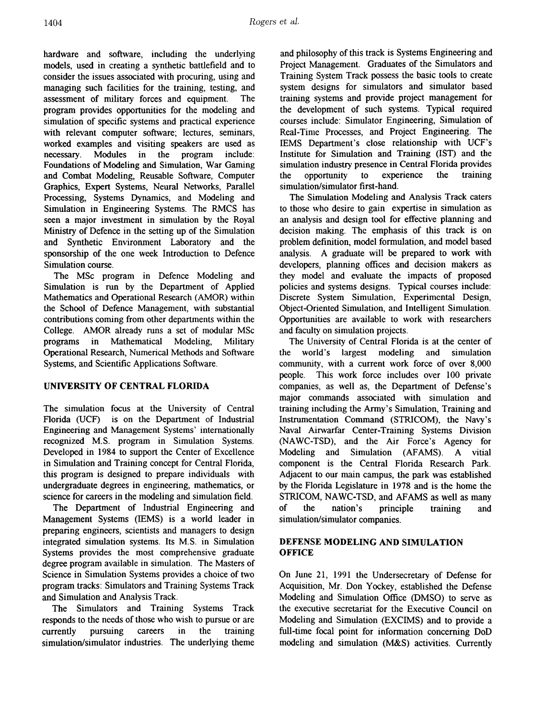hardware and software, including the underlying models, used in creating a synthetic battlefield and to consider the issues associated with procuring, using and managing such facilities for the training, testing, and assessment of military forces and equipment. The program provides opportunities for the modeling and simulation of specific systems and practical experience with relevant computer software; lectures, seminars, worked examples and visiting speakers are used as necessary. Modules in the program include: Foundations of Modeling and Simulation, War Gaming and Combat Modeling, Reusable Software, Computer Graphics, Expert Systems, Neural Networks, Parallel Processing, Systems Dynamics, and Modeling and Simulation in Engineering Systems. The RMCS has seen a major investment in simulation by the Royal Ministry of Defence in the setting up of the Simulation and Synthetic Environment Laboratory and the sponsorship of the one week Introduction to Defence Simulation course.

The MSc program in Defence Modeling and Simulation is run by the Department of Applied Mathematics and Operational Research (AMOR) within the School of Defence Management, with substantial contributions coming from other departments within the College. AMOR already runs a set of modular MSc programs in Mathematical Modeling, Military Operational Research, Numerical Methods and Software Systems, and Scientific Applications Software.

### UNIVERSITY OF CENTRAL FLORIDA

The simulation focus at the University of Central Florida (UCF) is on the Department of Industrial Engineering and Management Systems' internationally recognized M.S. program in Simulation Systems. Developed in 1984 to support the Center of Excellence in Simulation and Training concept for Central Florida, this program is designed to prepare individuals with undergraduate degrees in engineering, mathematics, or science for careers in the modeling and simulation field.

The Department of Industrial Engineering and Management Systems (IEMS) is a world leader in preparing engineers, scientists and managers to design integrated simulation systems. Its M.S. in Simulation Systems provides the most comprehensive graduate degree program available in simulation. The Masters of Science in Simulation Systems provides a choice of two program tracks: Simulators and Training Systems Track and Simulation and Analysis Track.

The Simulators and Training Systems Track responds to the needs of those who wish to pursue or are currently pursuing careers in the training simulation/simulator industries. The underlying theme and philosophy of this track is Systems Engineering and Project Management. Graduates of the Simulators and Training System Track possess the basic tools to create system designs for simulators and simulator based training systems and provide project management for the development of such systems. Typical required courses include: Simulator Engineering, Simulation of Real-Time Processes, and Project Engineering. The IEMS Department's close relationship with UCF's Institute for Simulation and Training (1ST) and the simulation industry presence in Central Florida provides the opportunity to experience the training simulation/simulator first-hand.

The Simulation Modeling and Analysis Track caters to those who desire to gain expertise in simulation as an analysis and design tool for effective planning and decision making. The emphasis of this track is on problem definition, model formulation, and model based analysis. A graduate will be prepared to work with developers, planning offices and decision makers as they model and evaluate the impacts of proposed policies and systems designs. Typical courses include: Discrete System Simulation, Experimental Design, Object-Oriented Simulation, and Intelligent Simulation. Opportunities are available to work with researchers and faculty on simulation projects.

The University of Central Florida is at the center of the world's largest modeling and simulation community, with a current work force of over 8,000 people. This work force includes over 100 private companies, as well as, the Department of Defense's major commands associated with simulation and training including the Army's Simulation, Training and Instrumentation Command (STRICOM), the Navy's Naval Airwarfar Center-Training Systems Division (NAWC-TSD), and the Air Force's Agency for Modeling and Simulation (AFAMS). A vitial component is the Central Florida Research Park. Adjacent to our main campus, the park was established by the Florida Legislature in 1978 and is the home the STRICOM, NAWC-TSD, and AFAMS as well as many of the nation's principle training and simulation/simulator companies.

### DEFENSE MODELING AND SIMULATION **OFFICE**

On June 21, 1991 the Undersecretary of Defense for Acquisition, Mr. Don Yockey, established the Defense Modeling and Simulation Office (DMSO) to serve as the executive secretariat for the Executive Council on Modeling and Simulation (EXCIMS) and to provide a full-time focal point for information concerning DoD modeling and simulation (M&S) activities. Currently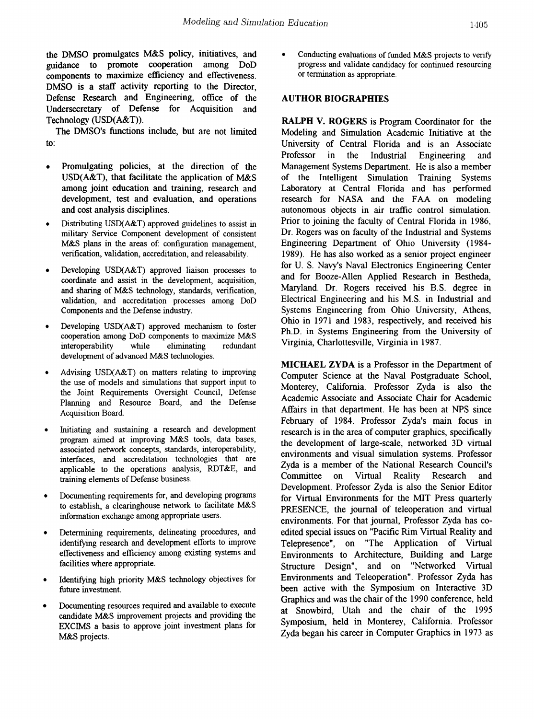the DMSO promulgates M&S policy, initiatives, and guidance to promote cooperation among DoD components to maximize efficiency and effectiveness. DMSO is a staff activity reporting to the Director, Defense Research and Engineering, office of the Undersecretary of Defense for Acquisition and Technology (USD $(A&T)$ ).

The DMSO's functions include, but are not limited to:

- Promulgating policies, at the direction of the USD(A&T), that facilitate the application of M&S among joint education and training, research and development, test and evaluation, and operations and cost analysis disciplines.
- Distributing USD(A&T) approved guidelines to assist in military Service Component development of consistent M&S plans in the areas of: configuration management, verification, validation, accreditation, and releasability.
- Developing USD(A&T) approved liaison processes to coordinate and assist in the development, acquisition, and sharing of M&S technology, standards, verification, validation, and accreditation processes among DoD Components and the Defense industry.
- Developing USD(A&T) approved mechanism to foster cooperation among DoD components to maximize M&S interoperability while eliminating redundant development of advanced M&S technologies.
- Advising USD(A&T) on matters relating to improving the use of models and simulations that support input to the Joint Requirements Oversight Council, Defense Planning and Resource Board, and the Defense Acquisition Board.
- Initiating and sustaining a research and development program aimed at improving M&S tools, data bases, associated network concepts, standards, interoperability, interfaces, and accreditation technologies that are applicable to the operations analysis, RDT&E, and training elements of Defense business.
- Documenting requirements for, and developing programs to establish, a clearinghouse network to facilitate M&S information exchange among appropriate users.
- Determining requirements, delineating procedures, and identifying research and development efforts to improve effectiveness and efficiency among existing systems and facilities where appropriate.
- Identifying high priority M&S technology objectives for future investment.
- Docwnenting resources required and available to execute candidate M&S improvement projects and providing the EXCIMS a basis to approve joint investment plans for M&S projects.

Conducting evaluations of funded M&S projects to verify progress and validate candidacy for continued resourcing or termination as appropriate.

#### AUTHOR BIOGRAPHIES

RALPH V. ROGERS is Program Coordinator for the Modeling and Simulation Academic Initiative at the University of Central Florida and is an Associate Professor in the Industrial Engineering and Management Systems Department. He is also a member of the Intelligent Simulation Training Systems Laboratory at Central Florida and has performed research for NASA and the FAA on modeling autonomous objects in air traffic control simulation. Prior to joining the faculty of Central Florida in 1986, Dr. Rogers was on faculty of the Industrial and Systems Engineering Department of Ohio University (1984- 1989). He has also worked as a senior project engineer for U. S. Navy's Naval Electronics Engineering Center and for Booze-Allen Applied Research in Bestheda, Maryland. Dr. Rogers received his B.S. degree in Electrical Engineering and his M.S. in Industrial and Systems Engineering from Ohio University, Athens, Ohio in 1971 and 1983, respectively, and received his Ph.D. in Systems Engineering from the University of Virginia, Charlottesville, Virginia in 1987.

MICHAEL ZYDA is a Professor in the Department of Computer Science at the Naval Postgraduate School, Monterey, California. Professor Zyda is also the Academic Associate and Associate Chair for Academic Affairs in that department. He has been at NPS since February of 1984. Professor Zyda's main focus in research is in the area of computer graphics, specifically the development of large-scale, networked 3D virtual environments and visual simulation systems. Professor Zyda is a member of the National Research Council's Committee on Virtual Reality Research and Development. Professor Zyda is also the Senior Editor for Virtual Environments for the MIT Press quarterly PRESENCE, the journal of teleoperation and virtual environments. For that journal, Professor Zyda has coedited special issues on "Pacific Rim Virtual Reality and Telepresence", on "The Application of Virtual Environments to Architecture, Building and Large Structure Design", and on "Networked Virtual Environments and Teleoperation". Professor Zyda has been active with the Symposium on Interactive 3D Graphics and was the chair of the 1990 conference, held at Snowbird, Utah and the chair of the 1995 Symposium, held in Monterey, California. Professor Zyda began his career in Computer Graphics in 1973 as